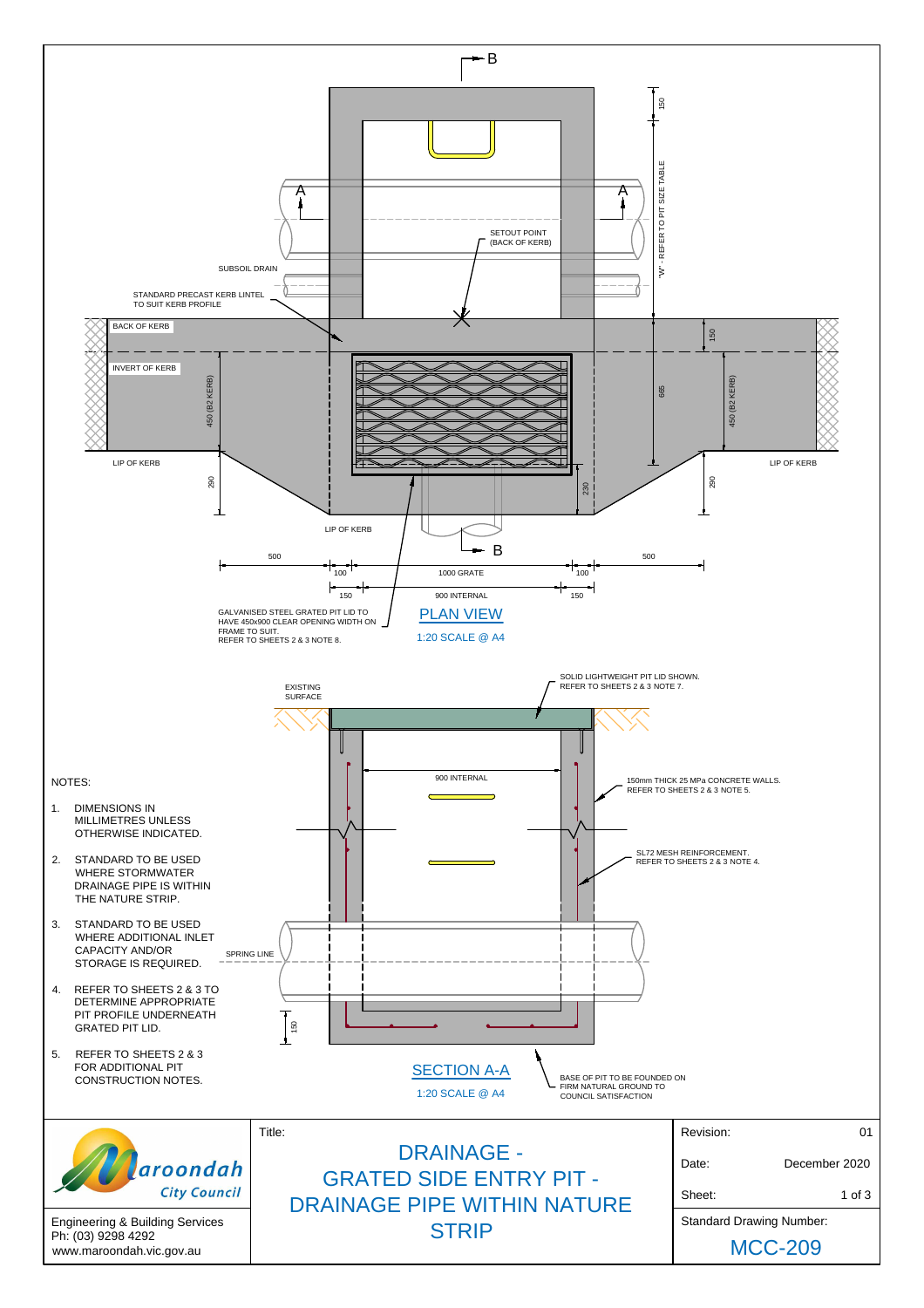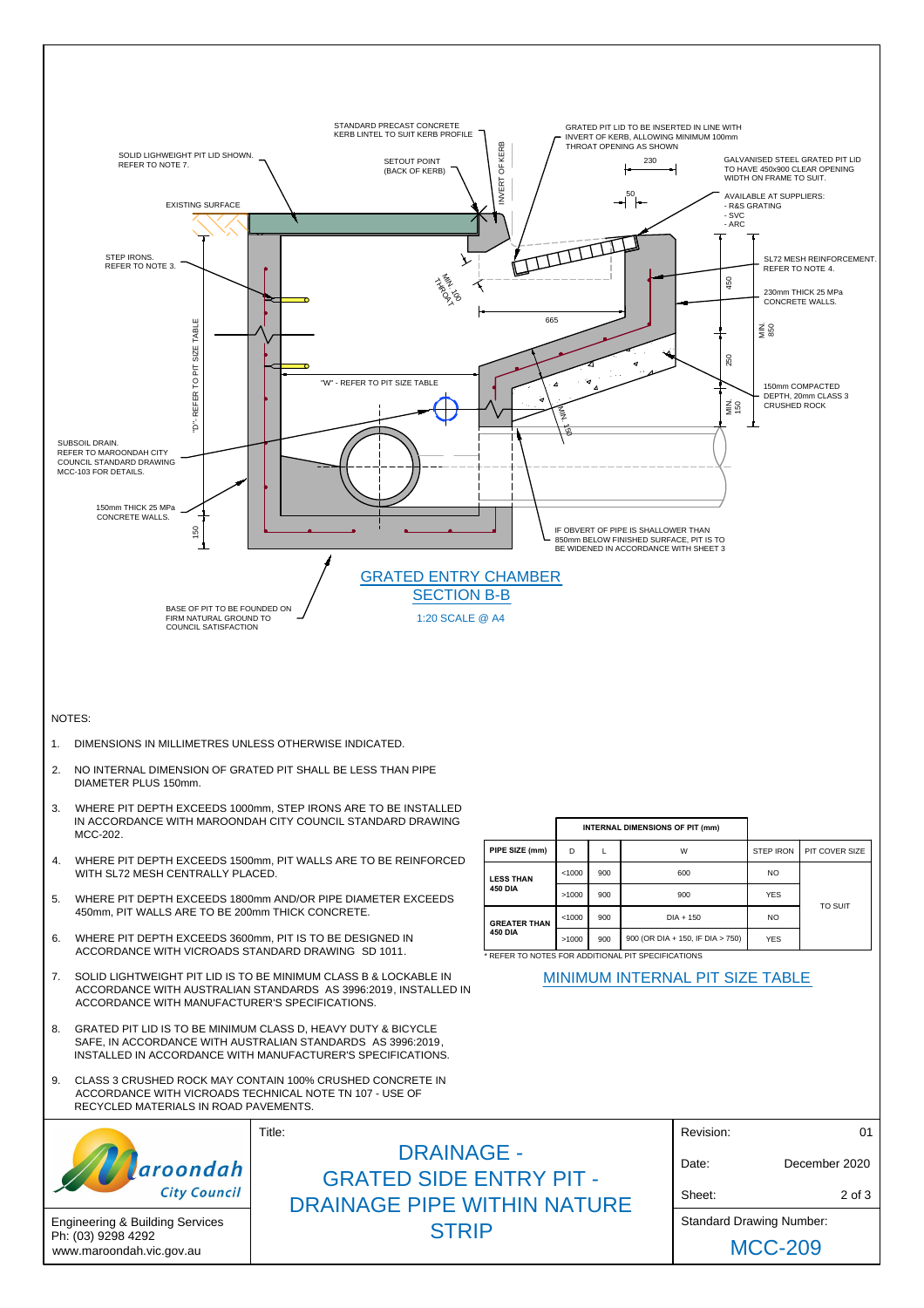

Engineering & Building Services Ph: (03) 9298 4292 www.maroondah.vic.gov.au

MCC-209